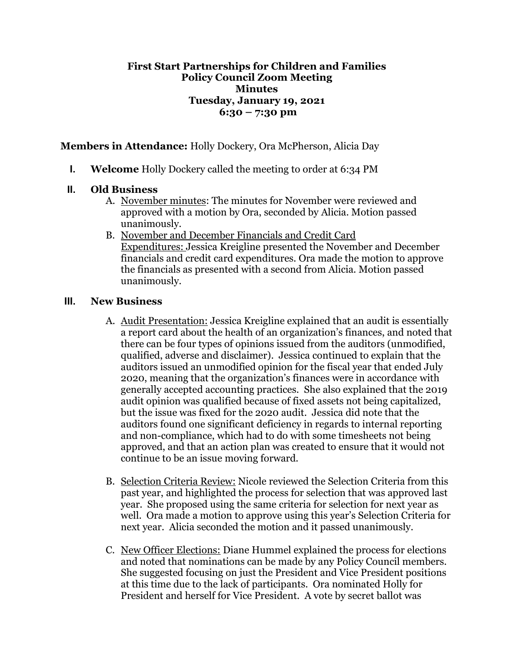## **First Start Partnerships for Children and Families Policy Council Zoom Meeting Minutes Tuesday, January 19, 2021 6:30 – 7:30 pm**

**Members in Attendance:** Holly Dockery, Ora McPherson, Alicia Day

**I. Welcome** Holly Dockery called the meeting to order at 6:34 PM

## **II. Old Business**

- A. November minutes: The minutes for November were reviewed and approved with a motion by Ora, seconded by Alicia. Motion passed unanimously.
- B. November and December Financials and Credit Card Expenditures: Jessica Kreigline presented the November and December financials and credit card expenditures. Ora made the motion to approve the financials as presented with a second from Alicia. Motion passed unanimously.

## **III. New Business**

- A. Audit Presentation: Jessica Kreigline explained that an audit is essentially a report card about the health of an organization's finances, and noted that there can be four types of opinions issued from the auditors (unmodified, qualified, adverse and disclaimer). Jessica continued to explain that the auditors issued an unmodified opinion for the fiscal year that ended July 2020, meaning that the organization's finances were in accordance with generally accepted accounting practices. She also explained that the 2019 audit opinion was qualified because of fixed assets not being capitalized, but the issue was fixed for the 2020 audit. Jessica did note that the auditors found one significant deficiency in regards to internal reporting and non-compliance, which had to do with some timesheets not being approved, and that an action plan was created to ensure that it would not continue to be an issue moving forward.
- B. Selection Criteria Review: Nicole reviewed the Selection Criteria from this past year, and highlighted the process for selection that was approved last year. She proposed using the same criteria for selection for next year as well. Ora made a motion to approve using this year's Selection Criteria for next year. Alicia seconded the motion and it passed unanimously.
- C. New Officer Elections: Diane Hummel explained the process for elections and noted that nominations can be made by any Policy Council members. She suggested focusing on just the President and Vice President positions at this time due to the lack of participants. Ora nominated Holly for President and herself for Vice President. A vote by secret ballot was